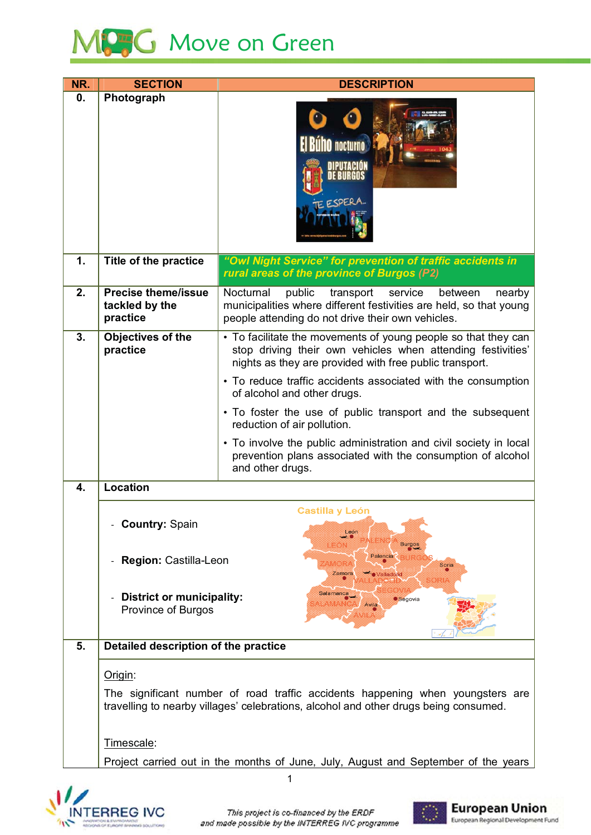

| NR. | <b>SECTION</b>                                                                                                                                                                       | <b>DESCRIPTION</b>                                                                                                                                                                          |  |  |  |  |  |  |
|-----|--------------------------------------------------------------------------------------------------------------------------------------------------------------------------------------|---------------------------------------------------------------------------------------------------------------------------------------------------------------------------------------------|--|--|--|--|--|--|
| 0.  | Photograph                                                                                                                                                                           | <b>El Buho</b> nocturno<br>ESPERA                                                                                                                                                           |  |  |  |  |  |  |
| 1.  | <b>Title of the practice</b>                                                                                                                                                         | "Owl Night Service" for prevention of traffic accidents in<br>rural areas of the province of Burgos (P2)                                                                                    |  |  |  |  |  |  |
| 2.  | <b>Precise theme/issue</b><br>tackled by the<br>practice                                                                                                                             | Nocturnal<br>public<br>transport<br>service<br>between<br>nearby<br>municipalities where different festivities are held, so that young<br>people attending do not drive their own vehicles. |  |  |  |  |  |  |
| 3.  | Objectives of the<br>practice                                                                                                                                                        | • To facilitate the movements of young people so that they can<br>stop driving their own vehicles when attending festivities'<br>nights as they are provided with free public transport.    |  |  |  |  |  |  |
|     |                                                                                                                                                                                      | • To reduce traffic accidents associated with the consumption<br>of alcohol and other drugs.                                                                                                |  |  |  |  |  |  |
|     |                                                                                                                                                                                      | • To foster the use of public transport and the subsequent<br>reduction of air pollution.                                                                                                   |  |  |  |  |  |  |
|     |                                                                                                                                                                                      | • To involve the public administration and civil society in local<br>prevention plans associated with the consumption of alcohol<br>and other drugs.                                        |  |  |  |  |  |  |
| 4.  | <b>Location</b>                                                                                                                                                                      |                                                                                                                                                                                             |  |  |  |  |  |  |
|     | <b>Country: Spain</b>                                                                                                                                                                | <b>Castilla y León</b><br>León<br>ENG<br><b>Burgos</b>                                                                                                                                      |  |  |  |  |  |  |
|     | Palencia<br>Region: Castilla-Leon<br>Soria<br>Zamora<br><b>/alladolic</b><br>Salamanca<br><b>District or municipality:</b><br><b>Segovia</b><br>AMARN<br>Avila<br>Province of Burgos |                                                                                                                                                                                             |  |  |  |  |  |  |
|     |                                                                                                                                                                                      |                                                                                                                                                                                             |  |  |  |  |  |  |
| 5.  | Detailed description of the practice                                                                                                                                                 |                                                                                                                                                                                             |  |  |  |  |  |  |
|     | Origin:                                                                                                                                                                              |                                                                                                                                                                                             |  |  |  |  |  |  |
|     | The significant number of road traffic accidents happening when youngsters are<br>travelling to nearby villages' celebrations, alcohol and other drugs being consumed.               |                                                                                                                                                                                             |  |  |  |  |  |  |
|     | Timescale:                                                                                                                                                                           |                                                                                                                                                                                             |  |  |  |  |  |  |
|     | Project carried out in the months of June, July, August and September of the years                                                                                                   |                                                                                                                                                                                             |  |  |  |  |  |  |



 $\overline{1}$ 

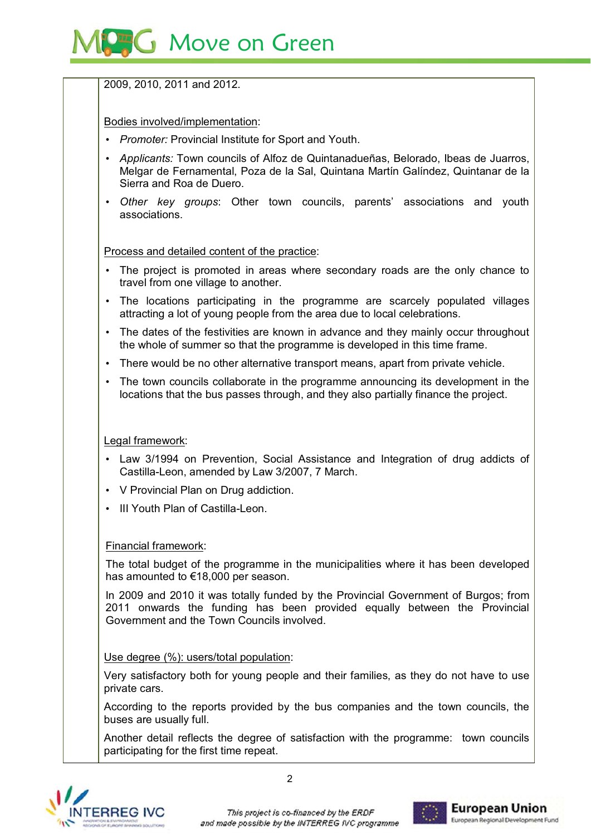

## 2009, 2010, 2011 and 2012.

Bodies involved/implementation:

- Promoter: Provincial Institute for Sport and Youth.
- Applicants: Town councils of Alfoz de Quintanadueñas, Belorado, Ibeas de Juarros, Melgar de Fernamental, Poza de la Sal, Quintana Martín Galíndez, Quintanar de la Sierra and Roa de Duero.
- Other key groups: Other town councils, parents' associations and youth associations

Process and detailed content of the practice:

- The project is promoted in areas where secondary roads are the only chance to travel from one village to another.
- The locations participating in the programme are scarcely populated villages attracting a lot of young people from the area due to local celebrations.
- The dates of the festivities are known in advance and they mainly occur throughout the whole of summer so that the programme is developed in this time frame.
- There would be no other alternative transport means, apart from private vehicle.
- The town councils collaborate in the programme announcing its development in the locations that the bus passes through, and they also partially finance the project.

### Legal framework:

- Law 3/1994 on Prevention, Social Assistance and Integration of drug addicts of Castilla-Leon, amended by Law 3/2007, 7 March.
- V Provincial Plan on Drug addiction.
- . III Youth Plan of Castilla-Leon.

### Financial framework:

The total budget of the programme in the municipalities where it has been developed has amounted to €18,000 per season.

In 2009 and 2010 it was totally funded by the Provincial Government of Burgos; from 2011 onwards the funding has been provided equally between the Provincial Government and the Town Councils involved.

#### Use degree (%): users/total population:

Very satisfactory both for young people and their families, as they do not have to use private cars.

According to the reports provided by the bus companies and the town councils, the buses are usually full.

Another detail reflects the degree of satisfaction with the programme: town councils participating for the first time repeat.